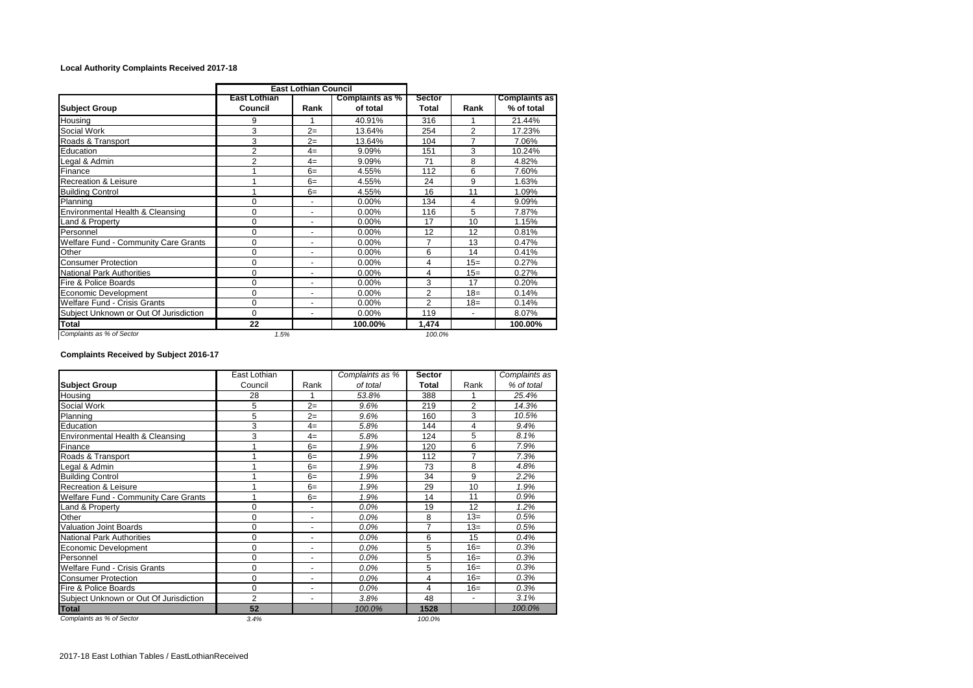## **Local Authority Complaints Received 2017-18**

|                                        | <b>East Lothian Council</b>    |                |                             |                 |                |                                    |
|----------------------------------------|--------------------------------|----------------|-----------------------------|-----------------|----------------|------------------------------------|
| <b>Subject Group</b>                   | <b>East Lothian</b><br>Council | Rank           | Complaints as %<br>of total | Sector<br>Total | Rank           | <b>Complaints as</b><br>% of total |
| Housing                                | 9                              |                | 40.91%                      | 316             |                | 21.44%                             |
| Social Work                            | 3                              | $2=$           | 13.64%                      | 254             | $\overline{2}$ | 17.23%                             |
| Roads & Transport                      | 3                              | $2=$           | 13.64%                      | 104             | 7              | 7.06%                              |
| Education                              | $\overline{2}$                 | $4=$           | 9.09%                       | 151             | 3              | 10.24%                             |
| Legal & Admin                          | $\overline{2}$                 | $4=$           | 9.09%                       | 71              | 8              | 4.82%                              |
| Finance                                |                                | $6=$           | 4.55%                       | 112             | 6              | 7.60%                              |
| <b>Recreation &amp; Leisure</b>        |                                | $6=$           | 4.55%                       | 24              | 9              | 1.63%                              |
| <b>Building Control</b>                |                                | $6=$           | 4.55%                       | 16              | 11             | 1.09%                              |
| Planning                               | $\Omega$                       |                | 0.00%                       | 134             | 4              | 9.09%                              |
| Environmental Health & Cleansing       | $\Omega$                       |                | 0.00%                       | 116             | 5              | 7.87%                              |
| Land & Property                        | $\Omega$                       |                | $0.00\%$                    | 17              | 10             | 1.15%                              |
| Personnel                              | $\Omega$                       |                | 0.00%                       | 12              | 12             | 0.81%                              |
| Welfare Fund - Community Care Grants   | $\Omega$                       | ٠              | $0.00\%$                    | 7               | 13             | 0.47%                              |
| Other                                  | $\mathbf 0$                    |                | 0.00%                       | 6               | 14             | 0.41%                              |
| <b>Consumer Protection</b>             | $\Omega$                       |                | 0.00%                       | 4               | $15=$          | 0.27%                              |
| <b>National Park Authorities</b>       | $\Omega$                       | $\blacksquare$ | $0.00\%$                    | 4               | $15=$          | 0.27%                              |
| Fire & Police Boards                   | 0                              | ٠              | $0.00\%$                    | 3               | 17             | 0.20%                              |
| <b>Economic Development</b>            | $\Omega$                       | ٠              | $0.00\%$                    | $\overline{2}$  | $18=$          | 0.14%                              |
| <b>Welfare Fund - Crisis Grants</b>    | $\Omega$                       | $\sim$         | $0.00\%$                    | $\overline{2}$  | $18=$          | 0.14%                              |
| Subject Unknown or Out Of Jurisdiction | $\Omega$                       | $\sim$         | 0.00%                       | 119             | $\blacksquare$ | 8.07%                              |
| Total                                  | 22                             |                | 100.00%                     | 1,474           |                | 100.00%                            |
| Complaints as % of Sector              | 1.5%                           |                |                             | 100.0%          |                |                                    |

## **Complaints Received by Subject 2016-17**

|                                        | East Lothian   |                          | Complaints as % | <b>Sector</b> |                | Complaints as |
|----------------------------------------|----------------|--------------------------|-----------------|---------------|----------------|---------------|
| <b>Subject Group</b>                   | Council        | Rank                     | of total        | <b>Total</b>  | Rank           | % of total    |
| Housing                                | 28             |                          | 53.8%           | 388           |                | 25.4%         |
| Social Work                            | 5              | $2=$                     | 9.6%            | 219           | $\overline{2}$ | 14.3%         |
| Planning                               | 5              | $2=$                     | 9.6%            | 160           | 3              | 10.5%         |
| Education                              | 3              | $4=$                     | 5.8%            | 144           | 4              | 9.4%          |
| Environmental Health & Cleansing       | 3              | $4=$                     | 5.8%            | 124           | 5              | 8.1%          |
| Finance                                |                | $6=$                     | 1.9%            | 120           | 6              | 7.9%          |
| Roads & Transport                      |                | $6=$                     | 1.9%            | 112           | 7              | 7.3%          |
| Legal & Admin                          |                | $6=$                     | 1.9%            | 73            | 8              | 4.8%          |
| <b>Building Control</b>                |                | $6=$                     | 1.9%            | 34            | 9              | 2.2%          |
| <b>Recreation &amp; Leisure</b>        |                | $6=$                     | 1.9%            | 29            | 10             | 1.9%          |
| Welfare Fund - Community Care Grants   |                | $6=$                     | 1.9%            | 14            | 11             | 0.9%          |
| Land & Property                        | $\Omega$       |                          | 0.0%            | 19            | 12             | 1.2%          |
| Other                                  | $\Omega$       | $\sim$                   | 0.0%            | 8             | $13=$          | 0.5%          |
| <b>Valuation Joint Boards</b>          | $\Omega$       | ٠                        | $0.0\%$         | 7             | $13=$          | 0.5%          |
| <b>National Park Authorities</b>       | $\Omega$       | $\sim$                   | $0.0\%$         | 6             | 15             | 0.4%          |
| Economic Development                   | $\Omega$       | $\overline{\phantom{a}}$ | $0.0\%$         | 5             | $16=$          | 0.3%          |
| Personnel                              | 0              | $\sim$                   | $0.0\%$         | 5             | $16=$          | 0.3%          |
| Welfare Fund - Crisis Grants           | $\Omega$       | $\overline{\phantom{a}}$ | 0.0%            | 5             | $16=$          | 0.3%          |
| <b>Consumer Protection</b>             | $\Omega$       | $\sim$                   | $0.0\%$         | 4             | $16=$          | 0.3%          |
| Fire & Police Boards                   | $\Omega$       | $\sim$                   | 0.0%            | 4             | $16=$          | 0.3%          |
| Subject Unknown or Out Of Jurisdiction | $\overline{2}$ | $\overline{\phantom{a}}$ | 3.8%            | 48            | $\blacksquare$ | 3.1%          |
| <b>Total</b>                           | 52             |                          | 100.0%          | 1528          |                | 100.0%        |
| Complaints as % of Sector              | 3.4%           |                          |                 | 100.0%        |                |               |